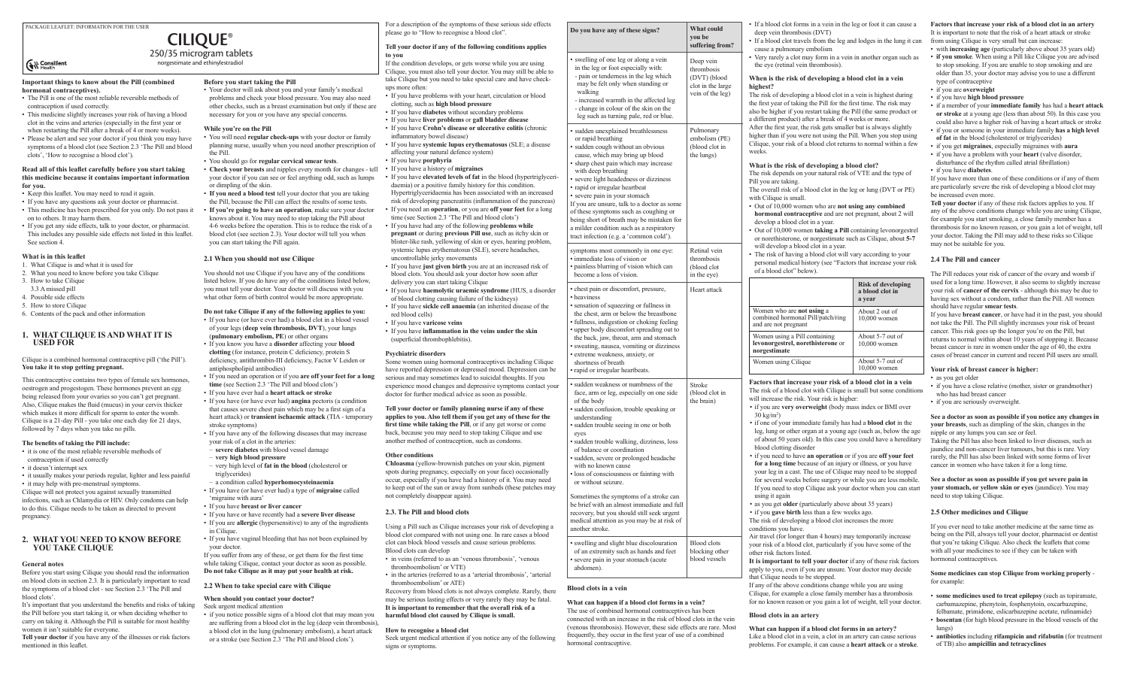# **Before you start taking the Pill**

• Your doctor will ask about you and your family's medical problems and check your blood pressure. You may also need other checks, such as a breast examination but only if these are necessary for you or you have any special concerns.

## **While you're on the Pill**

- You will need **regular check-ups** with your doctor or family planning nurse, usually when you need another prescription of the Pill.
- You should go for **regular cervical smear tests**.
- **Check your breasts** and nipples every month for changes tell your doctor if you can see or feel anything odd, such as lumps or dimpling of the skin.
- **If you need a blood test** tell your doctor that you are taking the Pill, because the Pill can affect the results of some tests.
- **If you're going to have an operation**, make sure your doctor knows about it. You may need to stop taking the Pill about 4-6 weeks before the operation. This is to reduce the risk of a blood clot (see section 2.3). Your doctor will tell you when
- you can start taking the Pill again.

# **2.1 When you should not use Cilique**

You should not use Cilique if you have any of the conditions listed below. If you do have any of the conditions listed below, you must tell your doctor. Your doctor will discuss with you what other form of birth control would be more appropriate.

# **Do not take Cilique if any of the following applies to you:**

- If you have (or have ever had) a blood clot in a blood vessel of your legs (**deep vein thrombosis, DVT**), your lungs
- (**pulmonary embolism, PE**) or other organs
- If you know you have a **disorder** affecting your **blood clotting** (for instance, protein C deficiency, protein S deficiency, antithrombin-III deficiency, Factor V Leiden or antiphospholipid antibodies)
- If you need an operation or if you **are off your feet for a long time** (see Section 2.3 'The Pill and blood clots')
- If you have ever had a **heart attack or stroke**
- If you have (or have ever had) **angina** pectoris (a condition that causes severe chest pain which may be a first sign of a heart attack) or **transient ischaemic attack** (TIA - temporary stroke symptoms)
- If you have any of the following diseases that may increase your risk of a clot in the arteries:
- **severe diabetes** with blood vessel damage
- **very high blood pressure**
- very high level of **fat in the blood** (cholesterol or triglycerides)
- a condition called **hyperhomocysteinaemia**
- If you have (or have ever had) a type of **migraine** called 'migraine with aura'
- If you have **breast or liver cancer**
- If you have or have recently had a **severe liver disease**
- If you are **allergic** (hypersensitive) to any of the ingredients in Cilique.
- If you have vaginal bleeding that has not been explained by your doctor.

If you suffer from any of these, or get them for the first time while taking Cilique, contact your doctor as soon as possible. **Do not take Cilique as it may put your health at risk.**

# **2.2 When to take special care with Cilique**

# **When should you contact your doctor?**

Seek urgent medical attention

For a description of the symptoms of these serious side effects PACKAGE LEAFLET: INFORMATION FOR THE USER **PLANET IN PROPERTY OF A CONSTRUCTED A Do you have any of these signs?**<br>Please go to "How to recognise a blood clot".

> • if you notice possible signs of a blood clot that may mean you are suffering from a blood clot in the leg (deep vein thrombosis), a blood clot in the lung (pulmonary embolism), a heart attack or a stroke (see Section 2.3 'The Pill and blood clots').

# **Cilique**® 250/35 microgram tablets

norgestimate and ethinylestradiol

# **S**& Consilient

#### **Important things to know about the Pill (combined hormonal contraceptives).**

- The Pill is one of the most reliable reversible methods of contraception if used correctly.
- This medicine slightly increases your risk of having a blood clot in the veins and arteries (especially in the first year or when restarting the Pill after a break of 4 or more weeks).
- Please be alert and see your doctor if you think you may have symptoms of a blood clot (see Section 2.3 'The Pill and blood clots', 'How to recognise a blood clot').

#### **Read all of this leaflet carefully before you start taking this medicine because it contains important information for you.**

- Keep this leaflet. You may need to read it again.
- If you have any questions ask your doctor or pharmacist.
- This medicine has been prescribed for you only. Do not pass it on to others. It may harm them.
- If you get any side effects, talk to your doctor, or pharmacist. This includes any possible side effects not listed in this leaflet. See section 4.

# **What is in this leaflet**

- 1. What Cilique is and what it is used for
- 2. What you need to know before you take Cilique
- 3. How to take Cilique
- 3.3 A missed pill 4. Possible side effects
- 5. How to store Cilique
- 6. Contents of the pack and other information

# **1. What Cilique is and what it is used for**

Cilique is a combined hormonal contraceptive pill ('the Pill'). **You take it to stop getting pregnant.**

- in veins (referred to as an 'venous thrombosis', 'venous' thromboembolism' or VTE)
- in the arteries (referred to as a 'arterial thrombosis', 'arterial thromboembolism' or ATE)

This contraceptive contains two types of female sex hormones, oestrogen and progestogen. These hormones prevent an egg being released from your ovaries so you can't get pregnant. Also, Cilique makes the fluid (mucus) in your cervix thicker which makes it more difficult for sperm to enter the womb. Cilique is a 21-day Pill - you take one each day for 21 days, followed by 7 days when you take no pills.

> What can happen if a blood clot forms in a ve The use of combined hormonal contraceptives has connected with an increase in the risk of blood clots (venous thrombosis). However, these side effects frequently, they occur in the first year of use of a hormonal contraceptive.

| What could<br>you be<br>suffering from?<br>Deep vein<br>thrombosis<br>(DVT) (blood<br>clot in the large<br>vein of the leg) | • If a blood clot forms in a vein in the leg or foot it can cause a<br>deep vein thrombosis (DVT)<br>• If a blood clot travels from the leg and lodges in the lung it can<br>cause a pulmonary embolism<br>• Very rarely a clot may form in a vein in another organ such as<br>the eye (retinal vein thrombosis).<br>When is the risk of developing a blood clot in a vein<br>highest?<br>The risk of developing a blood clot in a vein is highest during<br>the first year of taking the Pill for the first time. The risk may<br>also be higher if you restart taking the Pill (the same product or<br>a different product) after a break of 4 weeks or more.<br>After the first year, the risk gets smaller but is always slightly<br>higher than if you were not using the Pill. When you stop using<br>Cilique, your risk of a blood clot returns to normal within a few<br>weeks.<br>What is the risk of developing a blood clot?<br>The risk depends on your natural risk of VTE and the type of<br>Pill you are taking.<br>The overall risk of a blood clot in the leg or lung (DVT or PE)<br>with Cilique is small.<br>• Out of 10,000 women who are not using any combined<br>hormonal contraceptive and are not pregnant, about 2 will<br>develop a blood clot in a year.<br>• Out of 10,000 women taking a Pill containing levonorgestrel<br>or norethisterone, or norgestimate such as Cilique, about 5-7<br>will develop a blood clot in a year. |                                                        | Factors that increase your risk of a blood clot in an artery<br>It is important to note that the risk of a heart attack or stroke<br>from using Cilique is very small but can increase:<br>• with increasing age (particularly above about 35 years old)<br>• if you smoke. When using a Pill like Cilique you are advised<br>to stop smoking. If you are unable to stop smoking and are<br>older than 35, your doctor may advise you to use a different<br>type of contraceptive<br>• if you are overweight<br>· if you have high blood pressure<br>• if a member of your immediate family has had a heart attack<br>or stroke at a young age (less than about 50). In this case you<br>could also have a higher risk of having a heart attack or stroke<br>• if you or someone in your immediate family has a high level<br>of fat in the blood (cholesterol or triglycerides)<br>• if you get migraines, especially migraines with aura<br>• if you have a problem with your heart (valve disorder,<br>disturbance of the rhythm called atrial fibrillation)<br>• if you have diabetes.<br>If you have more than one of these conditions or if any of them<br>are particularly severe the risk of developing a blood clot may<br>be increased even more.<br>Tell your doctor if any of these risk factors applies to you. If<br>any of the above conditions change while you are using Cilique,<br>for example you start smoking, a close family member has a<br>thrombosis for no known reason, or you gain a lot of weight, tell<br>your doctor. Taking the Pill may add to these risks so Cilique<br>may not be suitable for you. |
|-----------------------------------------------------------------------------------------------------------------------------|----------------------------------------------------------------------------------------------------------------------------------------------------------------------------------------------------------------------------------------------------------------------------------------------------------------------------------------------------------------------------------------------------------------------------------------------------------------------------------------------------------------------------------------------------------------------------------------------------------------------------------------------------------------------------------------------------------------------------------------------------------------------------------------------------------------------------------------------------------------------------------------------------------------------------------------------------------------------------------------------------------------------------------------------------------------------------------------------------------------------------------------------------------------------------------------------------------------------------------------------------------------------------------------------------------------------------------------------------------------------------------------------------------------------------------------------------------------|--------------------------------------------------------|-----------------------------------------------------------------------------------------------------------------------------------------------------------------------------------------------------------------------------------------------------------------------------------------------------------------------------------------------------------------------------------------------------------------------------------------------------------------------------------------------------------------------------------------------------------------------------------------------------------------------------------------------------------------------------------------------------------------------------------------------------------------------------------------------------------------------------------------------------------------------------------------------------------------------------------------------------------------------------------------------------------------------------------------------------------------------------------------------------------------------------------------------------------------------------------------------------------------------------------------------------------------------------------------------------------------------------------------------------------------------------------------------------------------------------------------------------------------------------------------------------------------------------------------------------------------------------------------------------------------------------------------|
| Pulmonary<br>embolism (PE)<br>(blood clot in<br>the lungs)                                                                  |                                                                                                                                                                                                                                                                                                                                                                                                                                                                                                                                                                                                                                                                                                                                                                                                                                                                                                                                                                                                                                                                                                                                                                                                                                                                                                                                                                                                                                                                |                                                        |                                                                                                                                                                                                                                                                                                                                                                                                                                                                                                                                                                                                                                                                                                                                                                                                                                                                                                                                                                                                                                                                                                                                                                                                                                                                                                                                                                                                                                                                                                                                                                                                                                         |
| Retinal vein<br>thrombosis<br>(blood clot)<br>in the eye)                                                                   | • The risk of having a blood clot will vary according to your<br>personal medical history (see "Factors that increase your risk<br>of a blood clot" below).                                                                                                                                                                                                                                                                                                                                                                                                                                                                                                                                                                                                                                                                                                                                                                                                                                                                                                                                                                                                                                                                                                                                                                                                                                                                                                    |                                                        | 2.4 The Pill and cancer<br>The Pill reduces your risk of cancer of the ovary and womb if                                                                                                                                                                                                                                                                                                                                                                                                                                                                                                                                                                                                                                                                                                                                                                                                                                                                                                                                                                                                                                                                                                                                                                                                                                                                                                                                                                                                                                                                                                                                                |
| Heart attack                                                                                                                |                                                                                                                                                                                                                                                                                                                                                                                                                                                                                                                                                                                                                                                                                                                                                                                                                                                                                                                                                                                                                                                                                                                                                                                                                                                                                                                                                                                                                                                                | <b>Risk of developing</b><br>a blood clot in<br>a year | used for a long time. However, it also seems to slightly increase<br>your risk of cancer of the cervix - although this may be due to<br>having sex without a condom, rather than the Pill. All women<br>should have regular smear tests.                                                                                                                                                                                                                                                                                                                                                                                                                                                                                                                                                                                                                                                                                                                                                                                                                                                                                                                                                                                                                                                                                                                                                                                                                                                                                                                                                                                                |
|                                                                                                                             | Women who are not using a<br>combined hormonal Pill/patch/ring<br>and are not pregnant                                                                                                                                                                                                                                                                                                                                                                                                                                                                                                                                                                                                                                                                                                                                                                                                                                                                                                                                                                                                                                                                                                                                                                                                                                                                                                                                                                         | About 2 out of<br>$10,000$ women                       | If you have breast cancer, or have had it in the past, you should<br>not take the Pill. The Pill slightly increases your risk of breast<br>cancer. This risk goes up the longer you're on the Pill, but                                                                                                                                                                                                                                                                                                                                                                                                                                                                                                                                                                                                                                                                                                                                                                                                                                                                                                                                                                                                                                                                                                                                                                                                                                                                                                                                                                                                                                 |
|                                                                                                                             | Women using a Pill containing<br>levonorgestrel, norethisterone or<br>norgestimate                                                                                                                                                                                                                                                                                                                                                                                                                                                                                                                                                                                                                                                                                                                                                                                                                                                                                                                                                                                                                                                                                                                                                                                                                                                                                                                                                                             | About 5-7 out of<br>10,000 women<br>About 5-7 out of   | returns to normal within about 10 years of stopping it. Because<br>breast cancer is rare in women under the age of 40, the extra<br>cases of breast cancer in current and recent Pill users are small.                                                                                                                                                                                                                                                                                                                                                                                                                                                                                                                                                                                                                                                                                                                                                                                                                                                                                                                                                                                                                                                                                                                                                                                                                                                                                                                                                                                                                                  |
|                                                                                                                             | Women using Cilique                                                                                                                                                                                                                                                                                                                                                                                                                                                                                                                                                                                                                                                                                                                                                                                                                                                                                                                                                                                                                                                                                                                                                                                                                                                                                                                                                                                                                                            | $10,000$ women                                         | Your risk of breast cancer is higher:                                                                                                                                                                                                                                                                                                                                                                                                                                                                                                                                                                                                                                                                                                                                                                                                                                                                                                                                                                                                                                                                                                                                                                                                                                                                                                                                                                                                                                                                                                                                                                                                   |
| <b>Stroke</b><br>(blood clot in<br>the brain)                                                                               | Factors that increase your risk of a blood clot in a vein<br>The risk of a blood clot with Cilique is small but some conditions<br>will increase the risk. Your risk is higher:<br>• if you are very overweight (body mass index or BMI over<br>$30 \text{ kg/m}^2$ )<br>• if one of your immediate family has had a <b>blood clot</b> in the<br>leg, lung or other organ at a young age (such as, below the age<br>of about 50 years old). In this case you could have a hereditary<br>blood clotting disorder<br>• if you need to have an operation or if you are off your feet<br>for a long time because of an injury or illness, or you have<br>your leg in a cast. The use of Cilique may need to be stopped<br>for several weeks before surgery or while you are less mobile.<br>If you need to stop Cilique ask your doctor when you can start<br>using it again<br>• as you get older (particularly above about 35 years)<br>• if you gave birth less than a few weeks ago.<br>The risk of developing a blood clot increases the more                                                                                                                                                                                                                                                                                                                                                                                                                 |                                                        | • as you get older<br>• if you have a close relative (mother, sister or grandmother)<br>who has had breast cancer<br>• if you are seriously overweight.<br>See a doctor as soon as possible if you notice any changes in<br>your breasts, such as dimpling of the skin, changes in the<br>nipple or any lumps you can see or feel.<br>Taking the Pill has also been linked to liver diseases, such as<br>jaundice and non-cancer liver tumours, but this is rare. Very<br>rarely, the Pill has also been linked with some forms of liver<br>cancer in women who have taken it for a long time.<br>See a doctor as soon as possible if you get severe pain in<br>your stomach, or yellow skin or eyes (jaundice). You may<br>need to stop taking Cilique.                                                                                                                                                                                                                                                                                                                                                                                                                                                                                                                                                                                                                                                                                                                                                                                                                                                                                |
|                                                                                                                             |                                                                                                                                                                                                                                                                                                                                                                                                                                                                                                                                                                                                                                                                                                                                                                                                                                                                                                                                                                                                                                                                                                                                                                                                                                                                                                                                                                                                                                                                |                                                        | 2.5 Other medicines and Cilique<br>If you ever need to take another medicine at the same time as                                                                                                                                                                                                                                                                                                                                                                                                                                                                                                                                                                                                                                                                                                                                                                                                                                                                                                                                                                                                                                                                                                                                                                                                                                                                                                                                                                                                                                                                                                                                        |
| <b>Blood</b> clots<br>blocking other<br>blood vessels                                                                       | conditions you have.<br>Air travel (for longer than 4 hours) may temporarily increase<br>your risk of a blood clot, particularly if you have some of the<br>other risk factors listed.<br>It is important to tell your doctor if any of these risk factors<br>apply to you, even if you are unsure. Your doctor may decide<br>that Cilique needs to be stopped.<br>If any of the above conditions change while you are using<br>Cilique, for example a close family member has a thrombosis                                                                                                                                                                                                                                                                                                                                                                                                                                                                                                                                                                                                                                                                                                                                                                                                                                                                                                                                                                    |                                                        | being on the Pill, always tell your doctor, pharmacist or dentist<br>that you're taking Cilique. Also check the leaflets that come<br>with all your medicines to see if they can be taken with<br>hormonal contraceptives.                                                                                                                                                                                                                                                                                                                                                                                                                                                                                                                                                                                                                                                                                                                                                                                                                                                                                                                                                                                                                                                                                                                                                                                                                                                                                                                                                                                                              |
|                                                                                                                             |                                                                                                                                                                                                                                                                                                                                                                                                                                                                                                                                                                                                                                                                                                                                                                                                                                                                                                                                                                                                                                                                                                                                                                                                                                                                                                                                                                                                                                                                |                                                        | Some medicines can stop Cilique from working properly -<br>for example:<br>• some medicines used to treat epilepsy (such as topiramate,                                                                                                                                                                                                                                                                                                                                                                                                                                                                                                                                                                                                                                                                                                                                                                                                                                                                                                                                                                                                                                                                                                                                                                                                                                                                                                                                                                                                                                                                                                 |
| ı vein?<br>s has been<br>d clots in the vein                                                                                | for no known reason or you gain a lot of weight, tell your doctor.<br>Blood clots in an artery                                                                                                                                                                                                                                                                                                                                                                                                                                                                                                                                                                                                                                                                                                                                                                                                                                                                                                                                                                                                                                                                                                                                                                                                                                                                                                                                                                 |                                                        | carbamazepine, phenytoin, fosphenytoin, oxcarbazepine,<br>felbamate, primidone, eslicarbazepine acetate, rufinamide)<br>• bosentan (for high blood pressure in the blood vessels of the                                                                                                                                                                                                                                                                                                                                                                                                                                                                                                                                                                                                                                                                                                                                                                                                                                                                                                                                                                                                                                                                                                                                                                                                                                                                                                                                                                                                                                                 |
| ècts are rare. Most<br>of a combined                                                                                        | What can happen if a blood clot forms in an artery?<br>Like a blood clot in a vein, a clot in an artery can cause serious<br>problems. For example, it can cause a heart attack or a stroke.                                                                                                                                                                                                                                                                                                                                                                                                                                                                                                                                                                                                                                                                                                                                                                                                                                                                                                                                                                                                                                                                                                                                                                                                                                                                   |                                                        | lungs)<br>• antibiotics including rifampicin and rifabutin (for treatment<br>of TB) also ampicillin and tetracyclines                                                                                                                                                                                                                                                                                                                                                                                                                                                                                                                                                                                                                                                                                                                                                                                                                                                                                                                                                                                                                                                                                                                                                                                                                                                                                                                                                                                                                                                                                                                   |

# **The benefits of taking the Pill include:**

- it is one of the most reliable reversible methods of
- contraception if used correctly
- it doesn't interrupt sex
- it usually makes your periods regular, lighter and less painful
- it may help with pre-menstrual symptoms.

Cilique will not protect you against sexually transmitted infections, such as Chlamydia or HIV. Only condoms can help to do this. Cilique needs to be taken as directed to prevent pregnancy.

# **2. What you need to know before you take Cilique**

#### **General notes**

Before you start using Cilique you should read the information on blood clots in section 2.3. It is particularly important to read the symptoms of a blood clot - see Section 2.3 'The Pill and blood clots'.

It's important that you understand the benefits and risks of taking the Pill before you start taking it, or when deciding whether to carry on taking it. Although the Pill is suitable for most healthy women it isn't suitable for everyone.

**Tell your doctor** if you have any of the illnesses or risk factors mentioned in this leaflet.

# **Tell your doctor if any of the following conditions applies to you**

If the condition develops, or gets worse while you are using Cilique, you must also tell your doctor. You may still be able to take Cilique but you need to take special care and have checkups more often:

- If you have problems with your heart, circulation or blood clotting, such as **high blood pressure**
- If you have **diabetes** without secondary problems • If you have **liver problems** or **gall bladder disease**
- If you have **Crohn's disease or ulcerative colitis** (chronic inflammatory bowel disease)
- If you have **systemic lupus erythematosus** (SLE; a disease affecting your natural defence system)
- If you have **porphyria**
- If you have a history of **migraines**
- If you have **elevated levels of fat** in the blood (hypertriglyceridaemia) or a positive family history for this condition. Hypertriglyceridaemia has been associated with an increased risk of developing pancreatitis (inflammation of the pancreas)
- If you need an **operation**, or you are **off your feet** for a long time (see Section 2.3 'The Pill and blood clots')
- If you have had any of the following **problems while pregnant** or during **previous Pill use**, such as itchy skin or blister-like rash, yellowing of skin or eyes, hearing problem, systemic lupus erythematosus (SLE), severe headaches, uncontrollable jerky movements
- If you have **just given birth** you are at an increased risk of blood clots. You should ask your doctor how soon after delivery you can start taking Cilique
- If you have **haemolytic uraemic syndrome** (HUS, a disorder of blood clotting causing failure of the kidneys)
- If you have **sickle cell anaemia** (an inherited disease of the red blood cells)
- If you have **varicose veins**
- If you have **inflammation in the veins under the skin** (superficial thrombophlebitis).

# **Psychiatric disorders**

Some women using hormonal contraceptives including Cilique have reported depression or depressed mood. Depression can be serious and may sometimes lead to suicidal thoughts. If you experience mood changes and depressive symptoms contact your doctor for further medical advice as soon as possible.

**Tell your doctor or family planning nurse if any of these applies to you. Also tell them if you get any of these for the first time while taking the Pill**, or if any get worse or come back, because you may need to stop taking Cilique and use another method of contraception, such as condoms.

# **Other conditions**

**Chloasma** (yellow-brownish patches on your skin, pigment spots during pregnancy, especially on your face) occasionally occur, especially if you have had a history of it. You may need to keep out of the sun or away from sunbeds (these patches may not completely disappear again).

# **2.3. The Pill and blood clots**

Using a Pill such as Cilique increases your risk of developing a blood clot compared with not using one. In rare cases a blood clot can block blood vessels and cause serious problems. Blood clots can develop

Recovery from blood clots is not always complete. Rarely, there may be serious lasting effects or very rarely they may be fatal. **It is important to remember that the overall risk of a harmful blood clot caused by Cilique is small.**

# **How to recognise a blood clot**

Seek urgent medical attention if you notice any of the following signs or symptoms.

# **Blood clots in a vein**

| $\mathbf{v}$ y vu nu v un y                                                                                                                                                                                                                                                                                                                                                                                                                                                                                                                                                                                                         | you be<br>sufferi                               |
|-------------------------------------------------------------------------------------------------------------------------------------------------------------------------------------------------------------------------------------------------------------------------------------------------------------------------------------------------------------------------------------------------------------------------------------------------------------------------------------------------------------------------------------------------------------------------------------------------------------------------------------|-------------------------------------------------|
| • swelling of one leg or along a vein<br>in the leg or foot especially with:<br>- pain or tenderness in the leg which<br>may be felt only when standing or<br>walking<br>- increased warmth in the affected leg<br>- change in colour of the skin on the<br>leg such as turning pale, red or blue.                                                                                                                                                                                                                                                                                                                                  | Deep v<br>thromb<br>(DVT)<br>clot in<br>vein of |
| · sudden unexplained breathlessness<br>or rapid breathing<br>· sudden cough without an obvious<br>cause, which may bring up blood<br>• sharp chest pain which may increase<br>with deep breathing<br>• severe light headedness or dizziness<br>· rapid or irregular heartbeat<br>• severe pain in your stomach<br>If you are unsure, talk to a doctor as some<br>of these symptoms such as coughing or<br>being short of breath may be mistaken for<br>a milder condition such as a respiratory<br>tract infection (e.g. a 'common cold').                                                                                          | Pulmor<br>emboli<br>(blood<br>the lun           |
| symptoms most commonly in one eye:<br>· immediate loss of vision or<br>· painless blurring of vision which can<br>become a loss of vision.                                                                                                                                                                                                                                                                                                                                                                                                                                                                                          | Retinal<br>thromb<br>(blood<br>in the e         |
| • chest pain or discomfort, pressure,<br>• heaviness<br>• sensation of squeezing or fullness in<br>the chest, arm or below the breastbone<br>· fullness, indigestion or choking feeling<br>• upper body discomfort spreading out to<br>the back, jaw, throat, arm and stomach<br>· sweating, nausea, vomiting or dizziness<br>· extreme weakness, anxiety, or<br>shortness of breath<br>• rapid or irregular heartbeats.                                                                                                                                                                                                            | Heart a                                         |
| • sudden weakness or numbness of the<br>face, arm or leg, especially on one side<br>of the body<br>• sudden confusion, trouble speaking or<br>understanding<br>· sudden trouble seeing in one or both<br>eyes<br>· sudden trouble walking, dizziness, loss<br>of balance or coordination<br>· sudden, severe or prolonged headache<br>with no known cause<br>• loss of consciousness or fainting with<br>or without seizure.<br>Sometimes the symptoms of a stroke can<br>be brief with an almost immediate and full<br>recovery, but you should still seek urgent<br>medical attention as you may be at risk of<br>another stroke. | Stroke<br>(blood<br>the bra                     |
| • swelling and slight blue discolouration<br>of an extremity such as hands and feet                                                                                                                                                                                                                                                                                                                                                                                                                                                                                                                                                 | Blood<br>blockir                                |

• severe pain in your stomach (acute

abdomen).